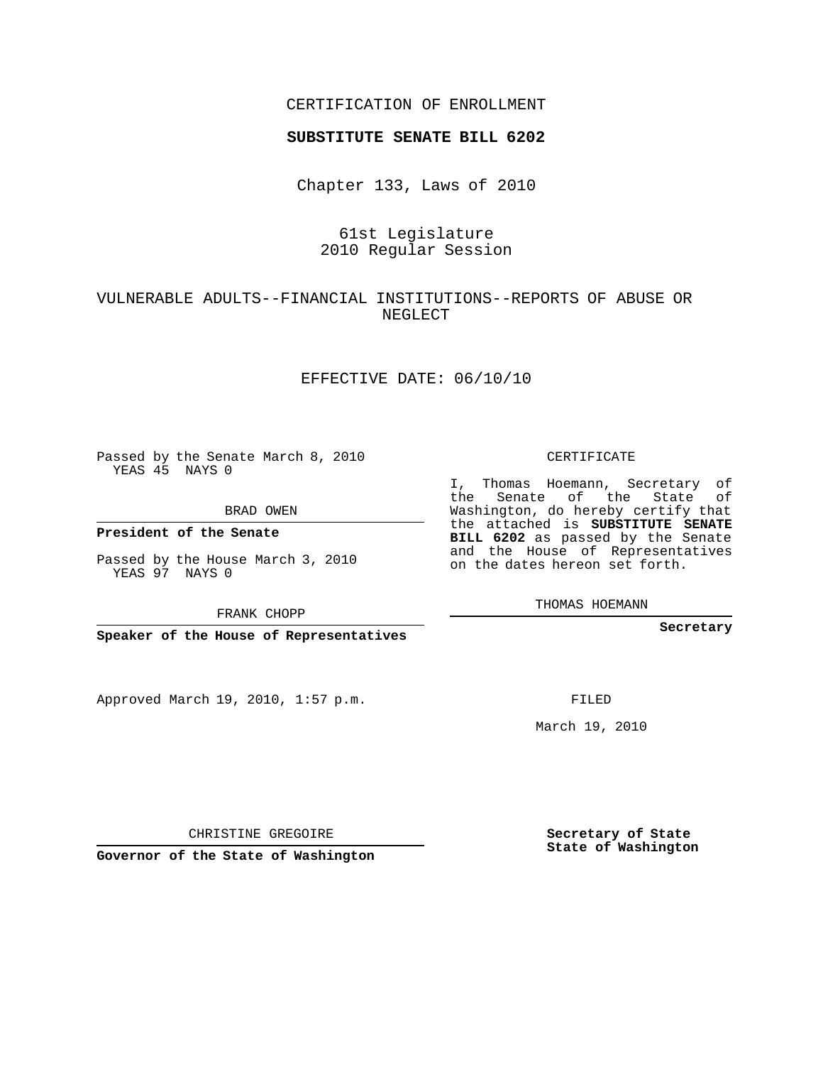## CERTIFICATION OF ENROLLMENT

#### **SUBSTITUTE SENATE BILL 6202**

Chapter 133, Laws of 2010

# 61st Legislature 2010 Regular Session

# VULNERABLE ADULTS--FINANCIAL INSTITUTIONS--REPORTS OF ABUSE OR NEGLECT

#### EFFECTIVE DATE: 06/10/10

Passed by the Senate March 8, 2010 YEAS 45 NAYS 0

BRAD OWEN

**President of the Senate**

Passed by the House March 3, 2010 YEAS 97 NAYS 0

FRANK CHOPP

**Speaker of the House of Representatives**

Approved March 19, 2010, 1:57 p.m.

CERTIFICATE

I, Thomas Hoemann, Secretary of the Senate of the State of Washington, do hereby certify that the attached is **SUBSTITUTE SENATE BILL 6202** as passed by the Senate and the House of Representatives on the dates hereon set forth.

**Secretary**

FILED

March 19, 2010

**Secretary of State State of Washington**

CHRISTINE GREGOIRE

**Governor of the State of Washington**

THOMAS HOEMANN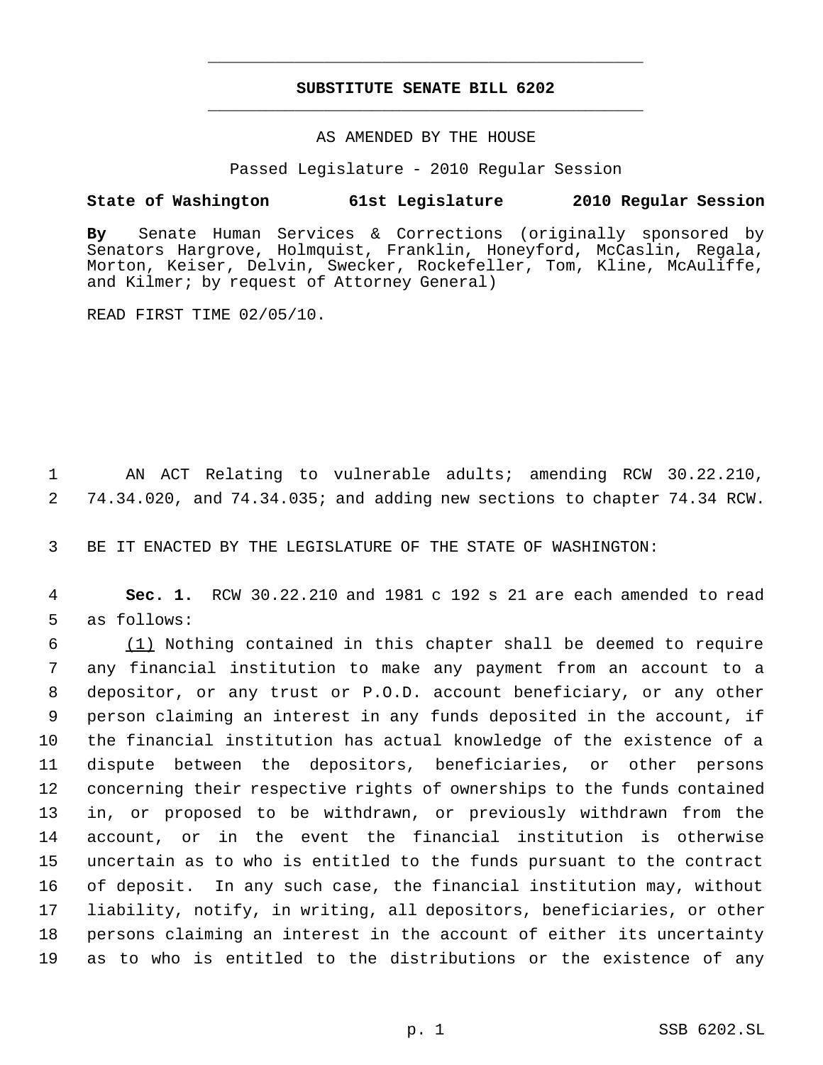# **SUBSTITUTE SENATE BILL 6202** \_\_\_\_\_\_\_\_\_\_\_\_\_\_\_\_\_\_\_\_\_\_\_\_\_\_\_\_\_\_\_\_\_\_\_\_\_\_\_\_\_\_\_\_\_

\_\_\_\_\_\_\_\_\_\_\_\_\_\_\_\_\_\_\_\_\_\_\_\_\_\_\_\_\_\_\_\_\_\_\_\_\_\_\_\_\_\_\_\_\_

#### AS AMENDED BY THE HOUSE

Passed Legislature - 2010 Regular Session

### **State of Washington 61st Legislature 2010 Regular Session**

**By** Senate Human Services & Corrections (originally sponsored by Senators Hargrove, Holmquist, Franklin, Honeyford, McCaslin, Regala, Morton, Keiser, Delvin, Swecker, Rockefeller, Tom, Kline, McAuliffe, and Kilmer; by request of Attorney General)

READ FIRST TIME 02/05/10.

 AN ACT Relating to vulnerable adults; amending RCW 30.22.210, 74.34.020, and 74.34.035; and adding new sections to chapter 74.34 RCW.

BE IT ENACTED BY THE LEGISLATURE OF THE STATE OF WASHINGTON:

 **Sec. 1.** RCW 30.22.210 and 1981 c 192 s 21 are each amended to read as follows:

 (1) Nothing contained in this chapter shall be deemed to require any financial institution to make any payment from an account to a depositor, or any trust or P.O.D. account beneficiary, or any other person claiming an interest in any funds deposited in the account, if the financial institution has actual knowledge of the existence of a dispute between the depositors, beneficiaries, or other persons concerning their respective rights of ownerships to the funds contained in, or proposed to be withdrawn, or previously withdrawn from the account, or in the event the financial institution is otherwise uncertain as to who is entitled to the funds pursuant to the contract of deposit. In any such case, the financial institution may, without liability, notify, in writing, all depositors, beneficiaries, or other persons claiming an interest in the account of either its uncertainty as to who is entitled to the distributions or the existence of any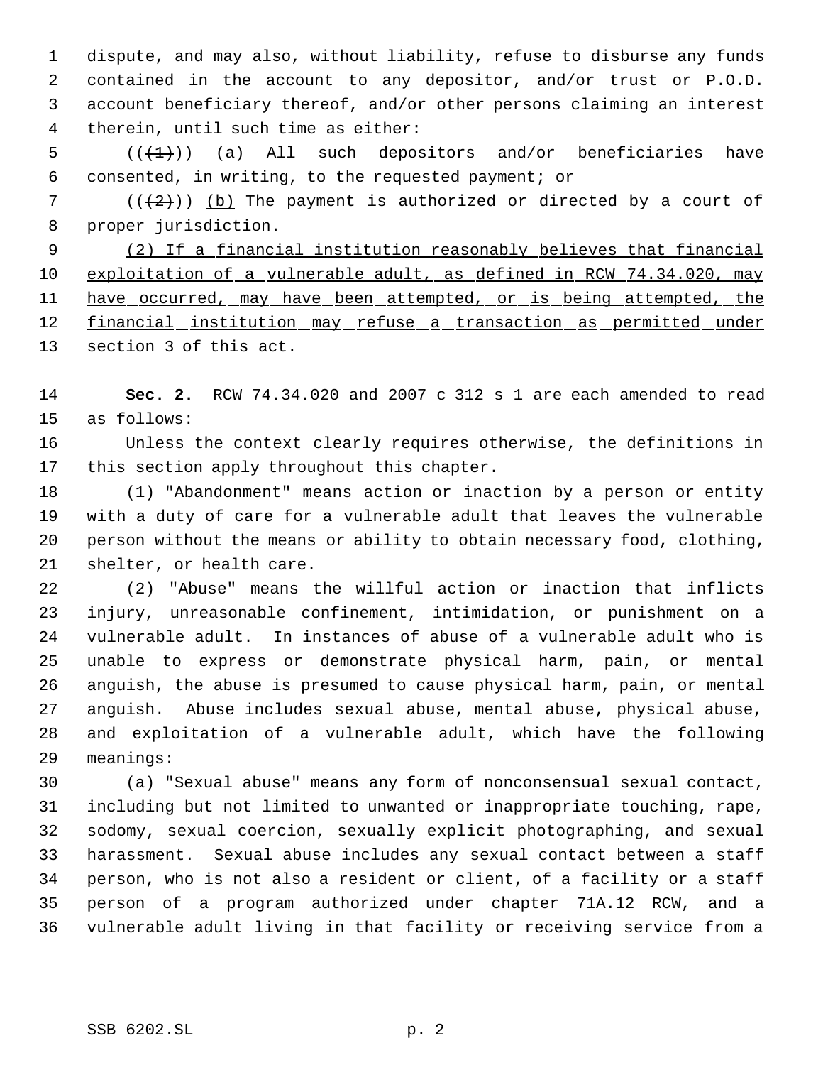dispute, and may also, without liability, refuse to disburse any funds contained in the account to any depositor, and/or trust or P.O.D. account beneficiary thereof, and/or other persons claiming an interest therein, until such time as either:

 $((+1))$  (a) All such depositors and/or beneficiaries have consented, in writing, to the requested payment; or

7 ( $(\frac{1}{2})$ ) (b) The payment is authorized or directed by a court of proper jurisdiction.

 (2) If a financial institution reasonably believes that financial 10 exploitation of a vulnerable adult, as defined in RCW 74.34.020, may 11 have occurred, may have been attempted, or is being attempted, the 12 financial institution may refuse a transaction as permitted under 13 section 3 of this act.

 **Sec. 2.** RCW 74.34.020 and 2007 c 312 s 1 are each amended to read as follows:

 Unless the context clearly requires otherwise, the definitions in this section apply throughout this chapter.

 (1) "Abandonment" means action or inaction by a person or entity with a duty of care for a vulnerable adult that leaves the vulnerable person without the means or ability to obtain necessary food, clothing, shelter, or health care.

 (2) "Abuse" means the willful action or inaction that inflicts injury, unreasonable confinement, intimidation, or punishment on a vulnerable adult. In instances of abuse of a vulnerable adult who is unable to express or demonstrate physical harm, pain, or mental anguish, the abuse is presumed to cause physical harm, pain, or mental anguish. Abuse includes sexual abuse, mental abuse, physical abuse, and exploitation of a vulnerable adult, which have the following meanings:

 (a) "Sexual abuse" means any form of nonconsensual sexual contact, including but not limited to unwanted or inappropriate touching, rape, sodomy, sexual coercion, sexually explicit photographing, and sexual harassment. Sexual abuse includes any sexual contact between a staff person, who is not also a resident or client, of a facility or a staff person of a program authorized under chapter 71A.12 RCW, and a vulnerable adult living in that facility or receiving service from a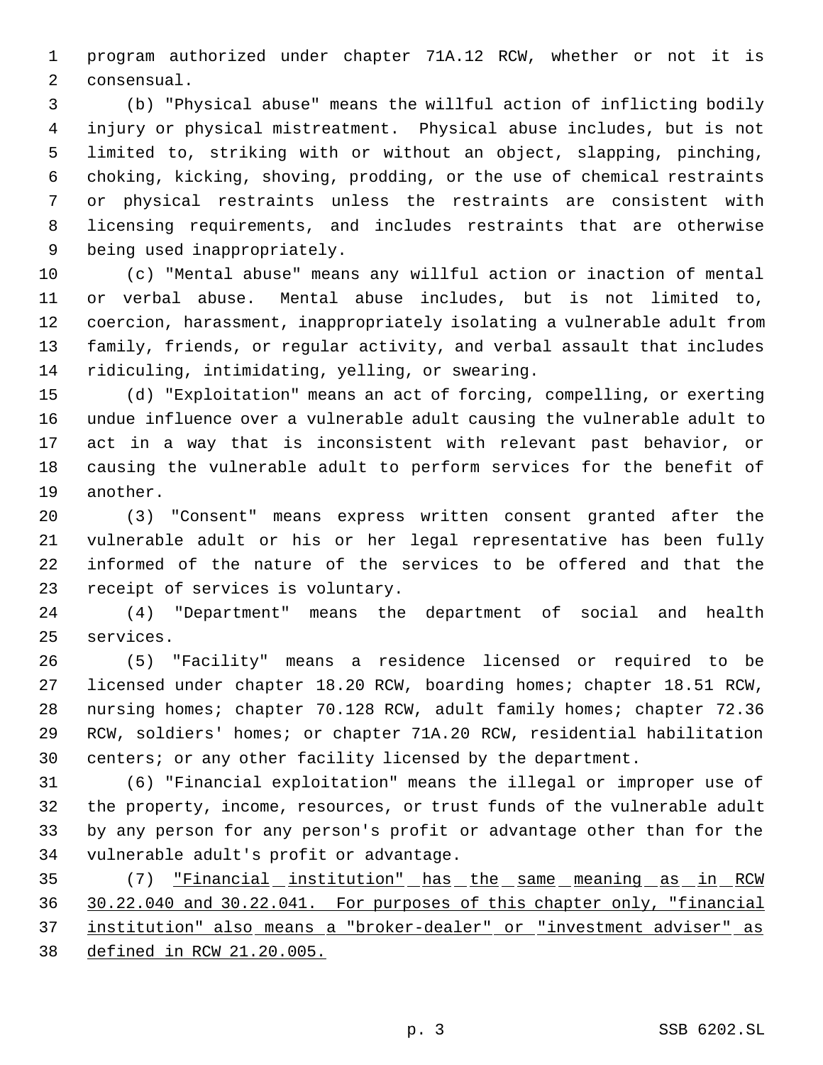program authorized under chapter 71A.12 RCW, whether or not it is consensual.

 (b) "Physical abuse" means the willful action of inflicting bodily injury or physical mistreatment. Physical abuse includes, but is not limited to, striking with or without an object, slapping, pinching, choking, kicking, shoving, prodding, or the use of chemical restraints or physical restraints unless the restraints are consistent with licensing requirements, and includes restraints that are otherwise being used inappropriately.

 (c) "Mental abuse" means any willful action or inaction of mental or verbal abuse. Mental abuse includes, but is not limited to, coercion, harassment, inappropriately isolating a vulnerable adult from family, friends, or regular activity, and verbal assault that includes ridiculing, intimidating, yelling, or swearing.

 (d) "Exploitation" means an act of forcing, compelling, or exerting undue influence over a vulnerable adult causing the vulnerable adult to act in a way that is inconsistent with relevant past behavior, or causing the vulnerable adult to perform services for the benefit of another.

 (3) "Consent" means express written consent granted after the vulnerable adult or his or her legal representative has been fully informed of the nature of the services to be offered and that the receipt of services is voluntary.

 (4) "Department" means the department of social and health services.

 (5) "Facility" means a residence licensed or required to be licensed under chapter 18.20 RCW, boarding homes; chapter 18.51 RCW, nursing homes; chapter 70.128 RCW, adult family homes; chapter 72.36 RCW, soldiers' homes; or chapter 71A.20 RCW, residential habilitation 30 centers; or any other facility licensed by the department.

 (6) "Financial exploitation" means the illegal or improper use of the property, income, resources, or trust funds of the vulnerable adult by any person for any person's profit or advantage other than for the vulnerable adult's profit or advantage.

35 (7) <u>"Financial institution" has the same meaning as in RCW</u> 30.22.040 and 30.22.041. For purposes of this chapter only, "financial institution" also means a "broker-dealer" or "investment adviser" as defined in RCW 21.20.005.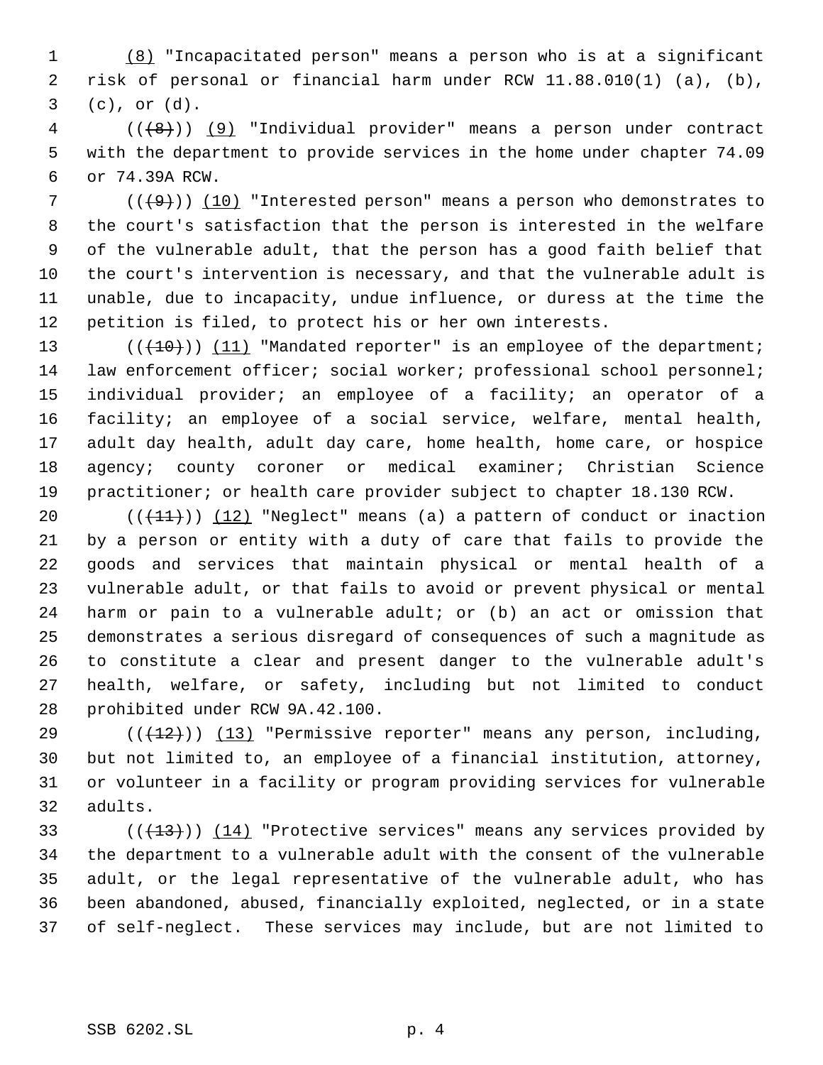(8) "Incapacitated person" means a person who is at a significant risk of personal or financial harm under RCW 11.88.010(1) (a), (b), (c), or (d).

 (((8))) (9) "Individual provider" means a person under contract with the department to provide services in the home under chapter 74.09 or 74.39A RCW.

 ( $(\frac{49}{10})$  "Interested person" means a person who demonstrates to the court's satisfaction that the person is interested in the welfare of the vulnerable adult, that the person has a good faith belief that the court's intervention is necessary, and that the vulnerable adult is unable, due to incapacity, undue influence, or duress at the time the petition is filed, to protect his or her own interests.

13 (( $(10)$ )) (11) "Mandated reporter" is an employee of the department; law enforcement officer; social worker; professional school personnel; individual provider; an employee of a facility; an operator of a facility; an employee of a social service, welfare, mental health, adult day health, adult day care, home health, home care, or hospice agency; county coroner or medical examiner; Christian Science practitioner; or health care provider subject to chapter 18.130 RCW.

 $((+11))$   $(12)$  "Neglect" means (a) a pattern of conduct or inaction by a person or entity with a duty of care that fails to provide the goods and services that maintain physical or mental health of a vulnerable adult, or that fails to avoid or prevent physical or mental harm or pain to a vulnerable adult; or (b) an act or omission that demonstrates a serious disregard of consequences of such a magnitude as to constitute a clear and present danger to the vulnerable adult's health, welfare, or safety, including but not limited to conduct prohibited under RCW 9A.42.100.

 $((+12))$   $(13)$  "Permissive reporter" means any person, including, but not limited to, an employee of a financial institution, attorney, or volunteer in a facility or program providing services for vulnerable adults.

 $((+13))$   $(14)$  "Protective services" means any services provided by the department to a vulnerable adult with the consent of the vulnerable adult, or the legal representative of the vulnerable adult, who has been abandoned, abused, financially exploited, neglected, or in a state of self-neglect. These services may include, but are not limited to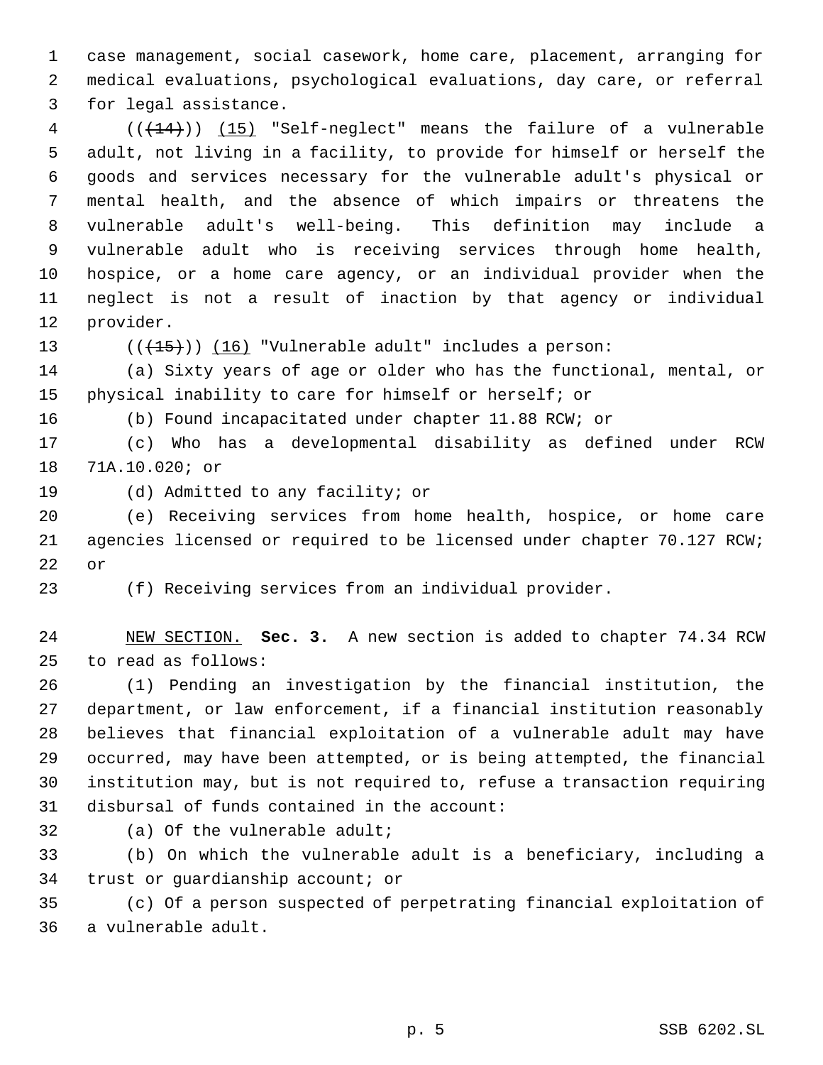case management, social casework, home care, placement, arranging for medical evaluations, psychological evaluations, day care, or referral for legal assistance.

 (((14))) (15) "Self-neglect" means the failure of a vulnerable adult, not living in a facility, to provide for himself or herself the goods and services necessary for the vulnerable adult's physical or mental health, and the absence of which impairs or threatens the vulnerable adult's well-being. This definition may include a vulnerable adult who is receiving services through home health, hospice, or a home care agency, or an individual provider when the neglect is not a result of inaction by that agency or individual provider.

13  $((+15))$   $(16)$  "Vulnerable adult" includes a person:

 (a) Sixty years of age or older who has the functional, mental, or physical inability to care for himself or herself; or

(b) Found incapacitated under chapter 11.88 RCW; or

 (c) Who has a developmental disability as defined under RCW 71A.10.020; or

(d) Admitted to any facility; or

 (e) Receiving services from home health, hospice, or home care agencies licensed or required to be licensed under chapter 70.127 RCW; or

(f) Receiving services from an individual provider.

 NEW SECTION. **Sec. 3.** A new section is added to chapter 74.34 RCW to read as follows:

 (1) Pending an investigation by the financial institution, the department, or law enforcement, if a financial institution reasonably believes that financial exploitation of a vulnerable adult may have occurred, may have been attempted, or is being attempted, the financial institution may, but is not required to, refuse a transaction requiring disbursal of funds contained in the account:

(a) Of the vulnerable adult;

 (b) On which the vulnerable adult is a beneficiary, including a trust or guardianship account; or

 (c) Of a person suspected of perpetrating financial exploitation of a vulnerable adult.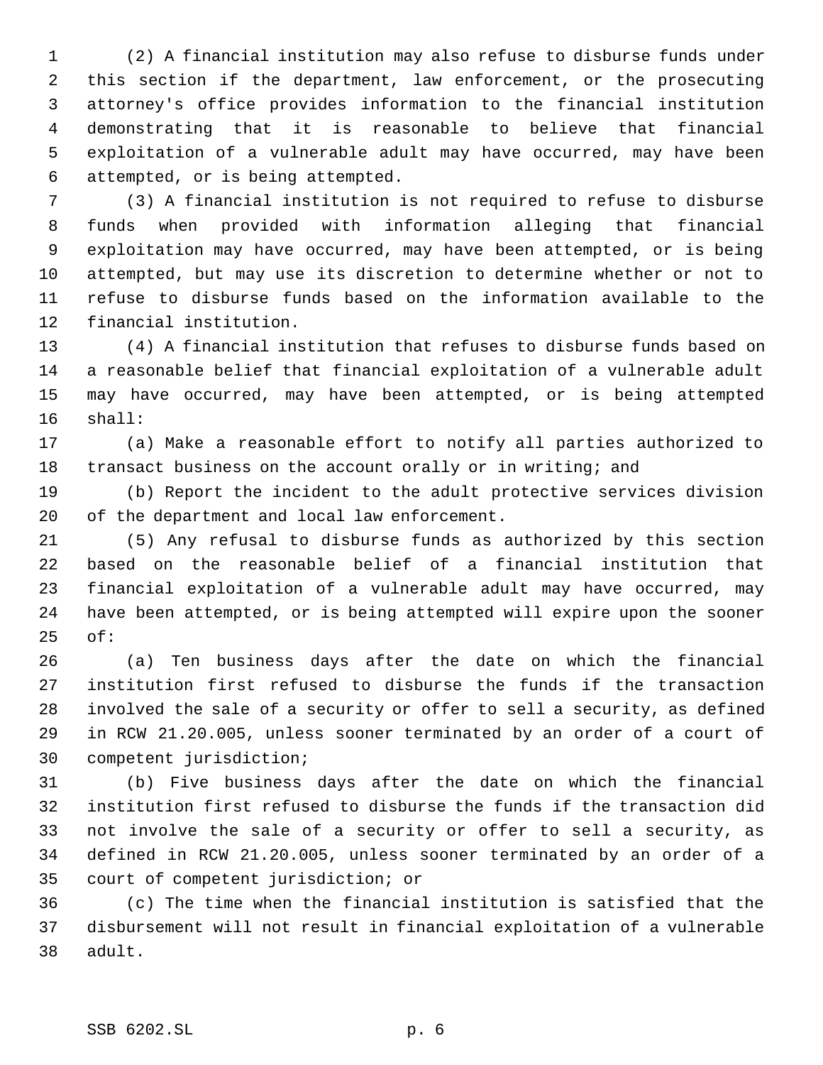(2) A financial institution may also refuse to disburse funds under this section if the department, law enforcement, or the prosecuting attorney's office provides information to the financial institution demonstrating that it is reasonable to believe that financial exploitation of a vulnerable adult may have occurred, may have been attempted, or is being attempted.

 (3) A financial institution is not required to refuse to disburse funds when provided with information alleging that financial exploitation may have occurred, may have been attempted, or is being attempted, but may use its discretion to determine whether or not to refuse to disburse funds based on the information available to the financial institution.

 (4) A financial institution that refuses to disburse funds based on a reasonable belief that financial exploitation of a vulnerable adult may have occurred, may have been attempted, or is being attempted shall:

 (a) Make a reasonable effort to notify all parties authorized to 18 transact business on the account orally or in writing; and

 (b) Report the incident to the adult protective services division of the department and local law enforcement.

 (5) Any refusal to disburse funds as authorized by this section based on the reasonable belief of a financial institution that financial exploitation of a vulnerable adult may have occurred, may have been attempted, or is being attempted will expire upon the sooner of:

 (a) Ten business days after the date on which the financial institution first refused to disburse the funds if the transaction involved the sale of a security or offer to sell a security, as defined in RCW 21.20.005, unless sooner terminated by an order of a court of competent jurisdiction;

 (b) Five business days after the date on which the financial institution first refused to disburse the funds if the transaction did not involve the sale of a security or offer to sell a security, as defined in RCW 21.20.005, unless sooner terminated by an order of a court of competent jurisdiction; or

 (c) The time when the financial institution is satisfied that the disbursement will not result in financial exploitation of a vulnerable adult.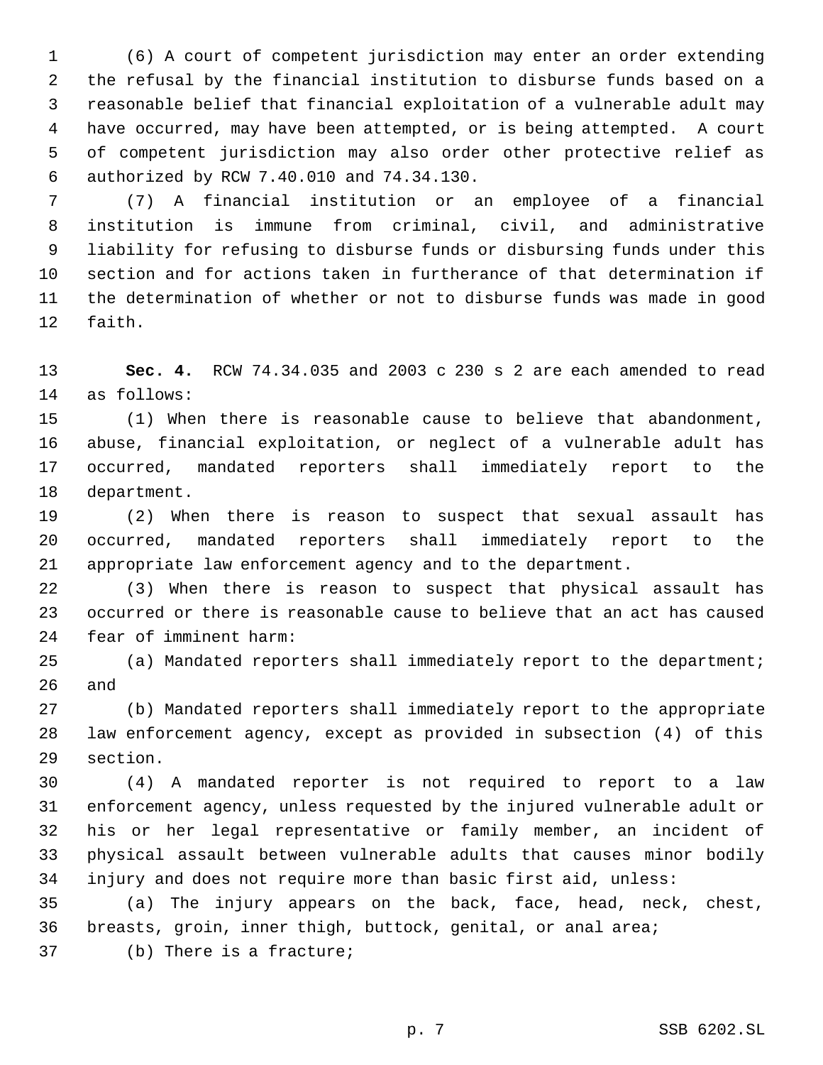(6) A court of competent jurisdiction may enter an order extending the refusal by the financial institution to disburse funds based on a reasonable belief that financial exploitation of a vulnerable adult may have occurred, may have been attempted, or is being attempted. A court of competent jurisdiction may also order other protective relief as authorized by RCW 7.40.010 and 74.34.130.

 (7) A financial institution or an employee of a financial institution is immune from criminal, civil, and administrative liability for refusing to disburse funds or disbursing funds under this section and for actions taken in furtherance of that determination if the determination of whether or not to disburse funds was made in good faith.

 **Sec. 4.** RCW 74.34.035 and 2003 c 230 s 2 are each amended to read as follows:

 (1) When there is reasonable cause to believe that abandonment, abuse, financial exploitation, or neglect of a vulnerable adult has occurred, mandated reporters shall immediately report to the department.

 (2) When there is reason to suspect that sexual assault has occurred, mandated reporters shall immediately report to the appropriate law enforcement agency and to the department.

 (3) When there is reason to suspect that physical assault has occurred or there is reasonable cause to believe that an act has caused fear of imminent harm:

 (a) Mandated reporters shall immediately report to the department; and

 (b) Mandated reporters shall immediately report to the appropriate law enforcement agency, except as provided in subsection (4) of this section.

 (4) A mandated reporter is not required to report to a law enforcement agency, unless requested by the injured vulnerable adult or his or her legal representative or family member, an incident of physical assault between vulnerable adults that causes minor bodily injury and does not require more than basic first aid, unless:

 (a) The injury appears on the back, face, head, neck, chest, breasts, groin, inner thigh, buttock, genital, or anal area;

(b) There is a fracture;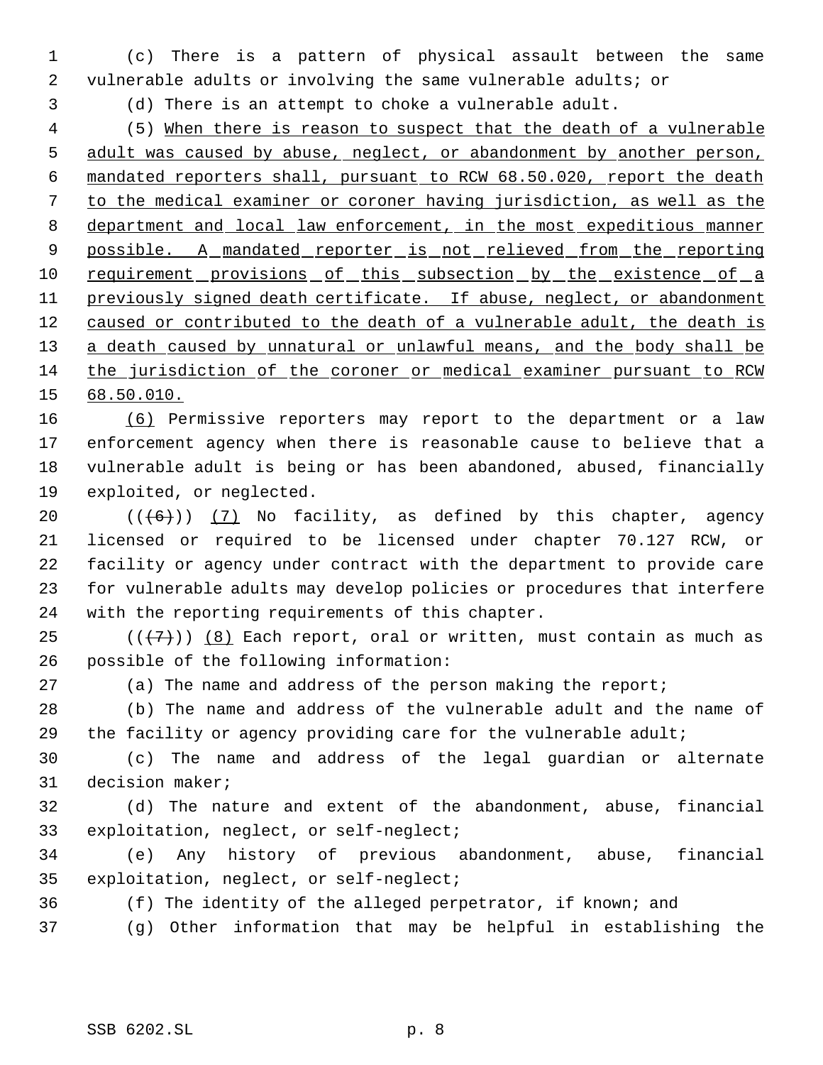(c) There is a pattern of physical assault between the same vulnerable adults or involving the same vulnerable adults; or

(d) There is an attempt to choke a vulnerable adult.

 (5) When there is reason to suspect that the death of a vulnerable adult was caused by abuse, neglect, or abandonment by another person, mandated reporters shall, pursuant to RCW 68.50.020, report the death to the medical examiner or coroner having jurisdiction, as well as the department and local law enforcement, in the most expeditious manner 9 possible. A mandated reporter is not relieved from the reporting 10 requirement provisions of this subsection by the existence of a 11 previously signed death certificate. If abuse, neglect, or abandonment 12 caused or contributed to the death of a vulnerable adult, the death is 13 a death caused by unnatural or unlawful means, and the body shall be the jurisdiction of the coroner or medical examiner pursuant to RCW 68.50.010.

 (6) Permissive reporters may report to the department or a law enforcement agency when there is reasonable cause to believe that a vulnerable adult is being or has been abandoned, abused, financially exploited, or neglected.

 $((+6))$   $(7)$  No facility, as defined by this chapter, agency licensed or required to be licensed under chapter 70.127 RCW, or facility or agency under contract with the department to provide care for vulnerable adults may develop policies or procedures that interfere with the reporting requirements of this chapter.

25 ( $(\overline{\langle 7 \rangle})$  (8) Each report, oral or written, must contain as much as possible of the following information:

(a) The name and address of the person making the report;

 (b) The name and address of the vulnerable adult and the name of the facility or agency providing care for the vulnerable adult;

 (c) The name and address of the legal guardian or alternate decision maker;

 (d) The nature and extent of the abandonment, abuse, financial exploitation, neglect, or self-neglect;

 (e) Any history of previous abandonment, abuse, financial exploitation, neglect, or self-neglect;

(f) The identity of the alleged perpetrator, if known; and

(g) Other information that may be helpful in establishing the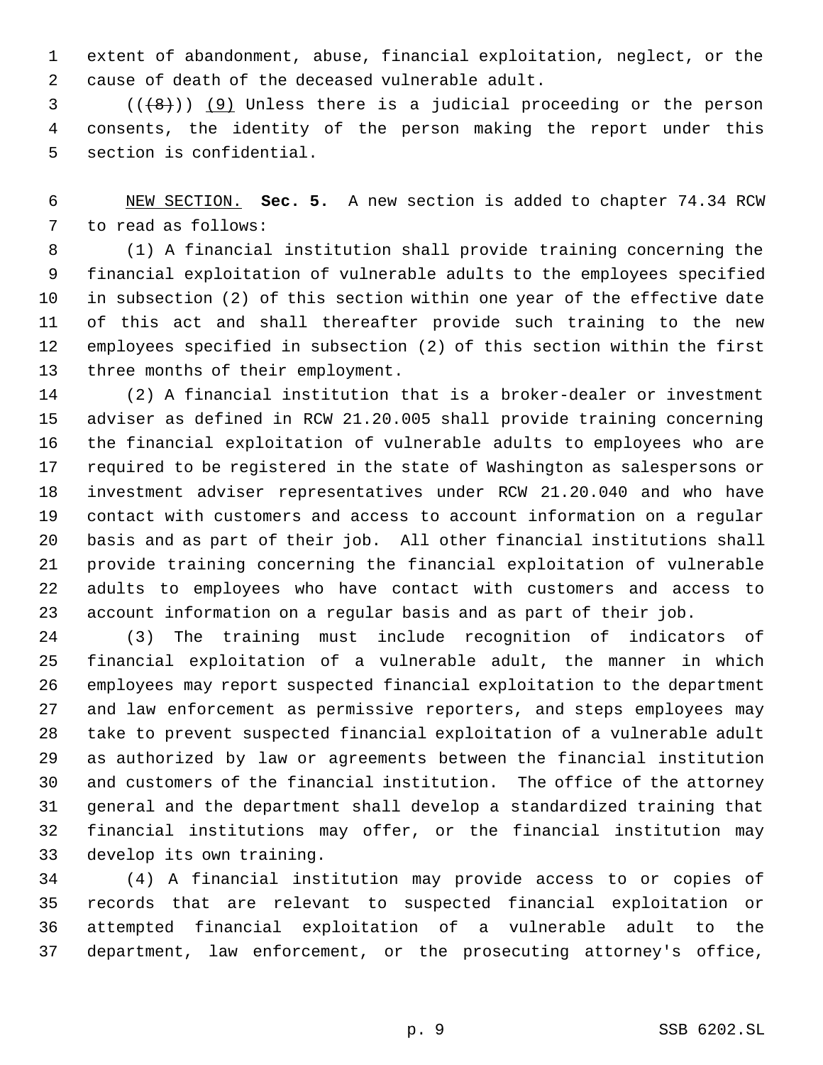extent of abandonment, abuse, financial exploitation, neglect, or the cause of death of the deceased vulnerable adult.

 ( $(\overline{8})$ ) (9) Unless there is a judicial proceeding or the person consents, the identity of the person making the report under this section is confidential.

 NEW SECTION. **Sec. 5.** A new section is added to chapter 74.34 RCW to read as follows:

 (1) A financial institution shall provide training concerning the financial exploitation of vulnerable adults to the employees specified in subsection (2) of this section within one year of the effective date of this act and shall thereafter provide such training to the new employees specified in subsection (2) of this section within the first three months of their employment.

 (2) A financial institution that is a broker-dealer or investment adviser as defined in RCW 21.20.005 shall provide training concerning the financial exploitation of vulnerable adults to employees who are required to be registered in the state of Washington as salespersons or investment adviser representatives under RCW 21.20.040 and who have contact with customers and access to account information on a regular basis and as part of their job. All other financial institutions shall provide training concerning the financial exploitation of vulnerable adults to employees who have contact with customers and access to account information on a regular basis and as part of their job.

 (3) The training must include recognition of indicators of financial exploitation of a vulnerable adult, the manner in which employees may report suspected financial exploitation to the department and law enforcement as permissive reporters, and steps employees may take to prevent suspected financial exploitation of a vulnerable adult as authorized by law or agreements between the financial institution and customers of the financial institution. The office of the attorney general and the department shall develop a standardized training that financial institutions may offer, or the financial institution may develop its own training.

 (4) A financial institution may provide access to or copies of records that are relevant to suspected financial exploitation or attempted financial exploitation of a vulnerable adult to the department, law enforcement, or the prosecuting attorney's office,